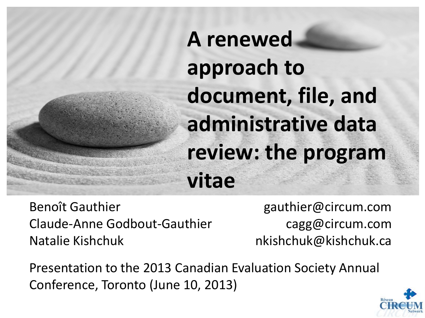# **A renewed approach to document, file, and administrative data review: the program vitae**

Benoît Gauthier Claude-Anne Godbout-Gauthier Natalie Kishchuk

gauthier@circum.com cagg@circum.com nkishchuk@kishchuk.ca

Presentation to the 2013 Canadian Evaluation Society Annual Conference, Toronto (June 10, 2013)

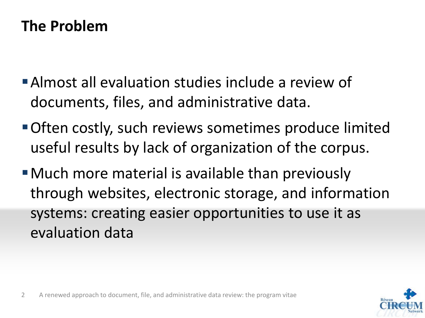# **The Problem**

- Almost all evaluation studies include a review of documents, files, and administrative data.
- Often costly, such reviews sometimes produce limited useful results by lack of organization of the corpus.
- Much more material is available than previously through websites, electronic storage, and information systems: creating easier opportunities to use it as evaluation data

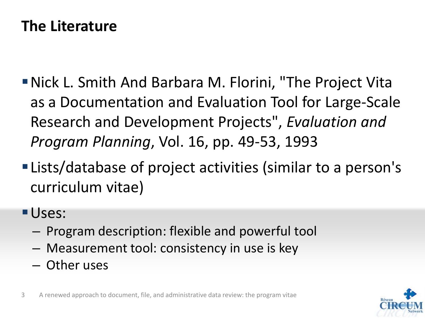### **The Literature**

- Nick L. Smith And Barbara M. Florini, "The Project Vita as a Documentation and Evaluation Tool for Large-Scale Research and Development Projects", *Evaluation and Program Planning*, Vol. 16, pp. 49-53, 1993
- Lists/database of project activities (similar to a person's curriculum vitae)
- Uses:
	- Program description: flexible and powerful tool
	- Measurement tool: consistency in use is key
	- Other uses



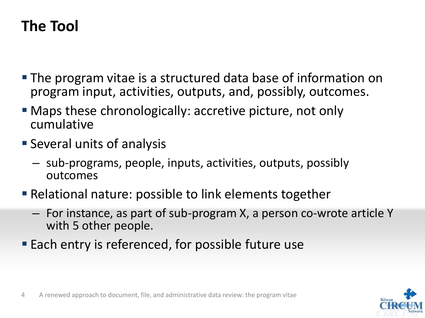# **The Tool**

- The program vitae is a structured data base of information on program input, activities, outputs, and, possibly, outcomes.
- Maps these chronologically: accretive picture, not only cumulative
- **Several units of analysis** 
	- sub-programs, people, inputs, activities, outputs, possibly outcomes
- Relational nature: possible to link elements together
	- For instance, as part of sub-program X, a person co-wrote article Y with 5 other people.
- **Each entry is referenced, for possible future use**

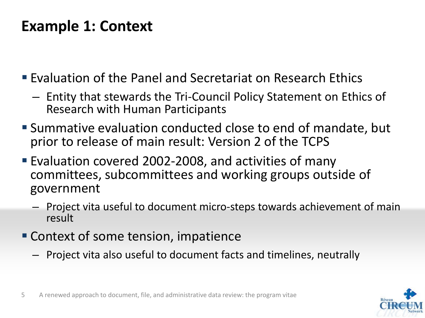### **Example 1: Context**

- **Evaluation of the Panel and Secretariat on Research Ethics** 
	- Entity that stewards the Tri-Council Policy Statement on Ethics of Research with Human Participants
- Summative evaluation conducted close to end of mandate, but prior to release of main result: Version 2 of the TCPS
- Evaluation covered 2002-2008, and activities of many committees, subcommittees and working groups outside of government
	- Project vita useful to document micro-steps towards achievement of main result
- Context of some tension, impatience
	- Project vita also useful to document facts and timelines, neutrally



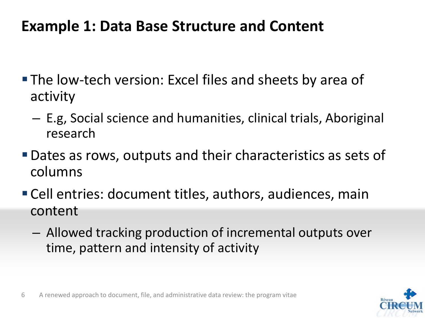### **Example 1: Data Base Structure and Content**

- The low-tech version: Excel files and sheets by area of activity
	- E.g, Social science and humanities, clinical trials, Aboriginal research
- Dates as rows, outputs and their characteristics as sets of columns
- Cell entries: document titles, authors, audiences, main content
	- Allowed tracking production of incremental outputs over time, pattern and intensity of activity

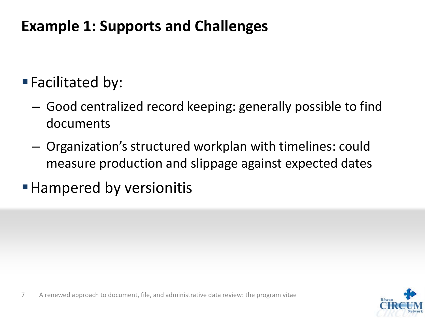# **Example 1: Supports and Challenges**

# ■ Facilitated by:

- Good centralized record keeping: generally possible to find documents
- Organization's structured workplan with timelines: could measure production and slippage against expected dates
- **Hampered by versionitis**

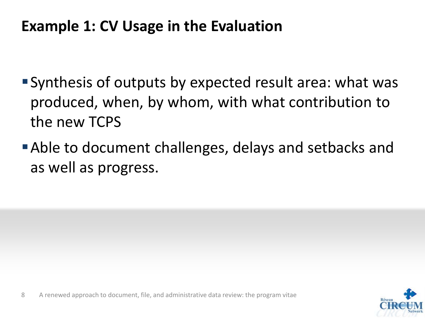### **Example 1: CV Usage in the Evaluation**

- Synthesis of outputs by expected result area: what was produced, when, by whom, with what contribution to the new TCPS
- Able to document challenges, delays and setbacks and as well as progress.

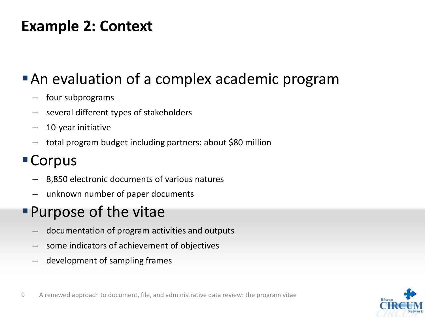### **Example 2: Context**

## **An evaluation of a complex academic program**

- four subprograms
- several different types of stakeholders
- 10-year initiative
- total program budget including partners: about \$80 million

### Corpus

- 8,850 electronic documents of various natures
- unknown number of paper documents

# Purpose of the vitae

- documentation of program activities and outputs
- some indicators of achievement of objectives
- development of sampling frames

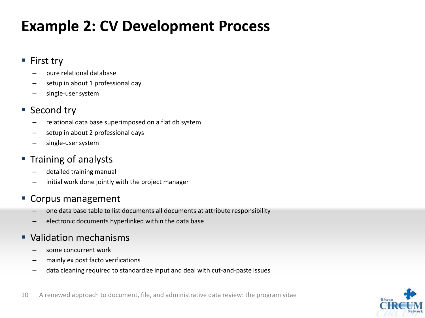### **Example 2: CV Development Process**

#### ■ First try

- pure relational database
- setup in about 1 professional day
- single-user system

#### ■ Second try

- relational data base superimposed on a flat db system
- setup in about 2 professional days
- single-user system

#### **Training of analysts**

- detailed training manual
- initial work done jointly with the project manager

#### **Corpus management**

- one data base table to list documents all documents at attribute responsibility
- electronic documents hyperlinked within the data base

#### **Validation mechanisms**

- some concurrent work
- mainly ex post facto verifications
- data cleaning required to standardize input and deal with cut-and-paste issues



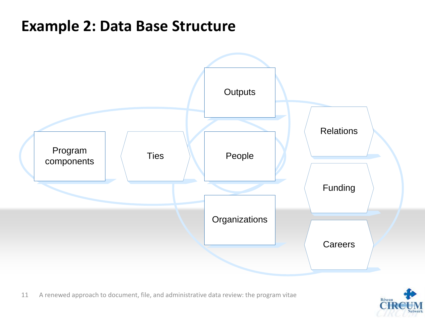### **Example 2: Data Base Structure**



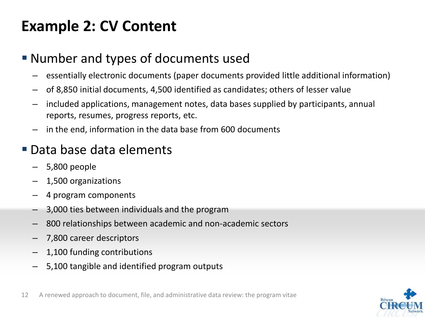# **Example 2: CV Content**

### Number and types of documents used

- essentially electronic documents (paper documents provided little additional information)
- of 8,850 initial documents, 4,500 identified as candidates; others of lesser value
- included applications, management notes, data bases supplied by participants, annual reports, resumes, progress reports, etc.
- in the end, information in the data base from 600 documents

### Data base data elements

- 5,800 people
- 1,500 organizations
- 4 program components
- 3,000 ties between individuals and the program
- 800 relationships between academic and non-academic sectors
- 7,800 career descriptors
- 1,100 funding contributions
- 5,100 tangible and identified program outputs

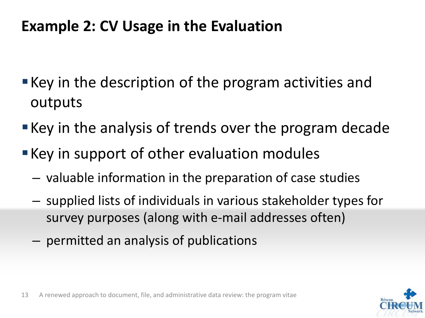### **Example 2: CV Usage in the Evaluation**

- **Key in the description of the program activities and** outputs
- **Key in the analysis of trends over the program decade**
- **Key in support of other evaluation modules** 
	- valuable information in the preparation of case studies
	- supplied lists of individuals in various stakeholder types for survey purposes (along with e-mail addresses often)
	- permitted an analysis of publications

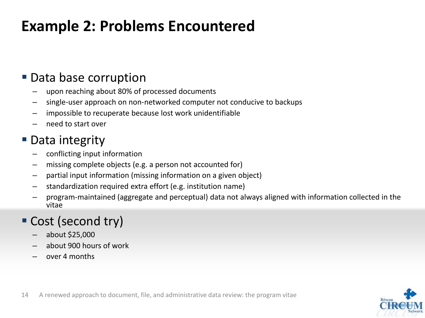### **Example 2: Problems Encountered**

### **Data base corruption**

- upon reaching about 80% of processed documents
- single-user approach on non-networked computer not conducive to backups
- impossible to recuperate because lost work unidentifiable
- need to start over

### **Data integrity**

- conflicting input information
- missing complete objects (e.g. a person not accounted for)
- partial input information (missing information on a given object)
- standardization required extra effort (e.g. institution name)
- program-maintained (aggregate and perceptual) data not always aligned with information collected in the vitae

### Cost (second try)

- about \$25,000
- about 900 hours of work
- over 4 months